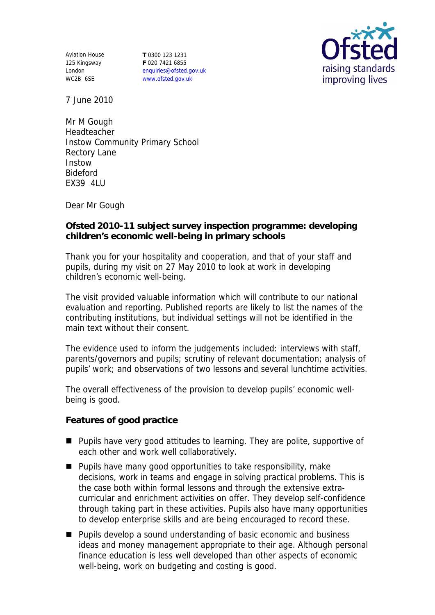Aviation House 125 Kingsway London WC2B 6SE

**T** 0300 123 1231 **F** 020 7421 6855 enquiries@ofsted.gov.uk www.ofsted.gov.uk



7 June 2010

Mr M Gough Headteacher Instow Community Primary School Rectory Lane Instow Bideford EX39 4LU

Dear Mr Gough

**Ofsted 2010-11 subject survey inspection programme: developing children's economic well-being in primary schools** 

Thank you for your hospitality and cooperation, and that of your staff and pupils, during my visit on 27 May 2010 to look at work in developing children's economic well-being.

The visit provided valuable information which will contribute to our national evaluation and reporting. Published reports are likely to list the names of the contributing institutions, but individual settings will not be identified in the main text without their consent.

The evidence used to inform the judgements included: interviews with staff, parents/governors and pupils; scrutiny of relevant documentation; analysis of pupils' work; and observations of two lessons and several lunchtime activities.

The overall effectiveness of the provision to develop pupils' economic wellbeing is good.

**Features of good practice** 

- **Pupils have very good attitudes to learning. They are polite, supportive of** each other and work well collaboratively.
- **Pupils have many good opportunities to take responsibility, make** decisions, work in teams and engage in solving practical problems. This is the case both within formal lessons and through the extensive extracurricular and enrichment activities on offer. They develop self-confidence through taking part in these activities. Pupils also have many opportunities to develop enterprise skills and are being encouraged to record these.
- Pupils develop a sound understanding of basic economic and business ideas and money management appropriate to their age. Although personal finance education is less well developed than other aspects of economic well-being, work on budgeting and costing is good.